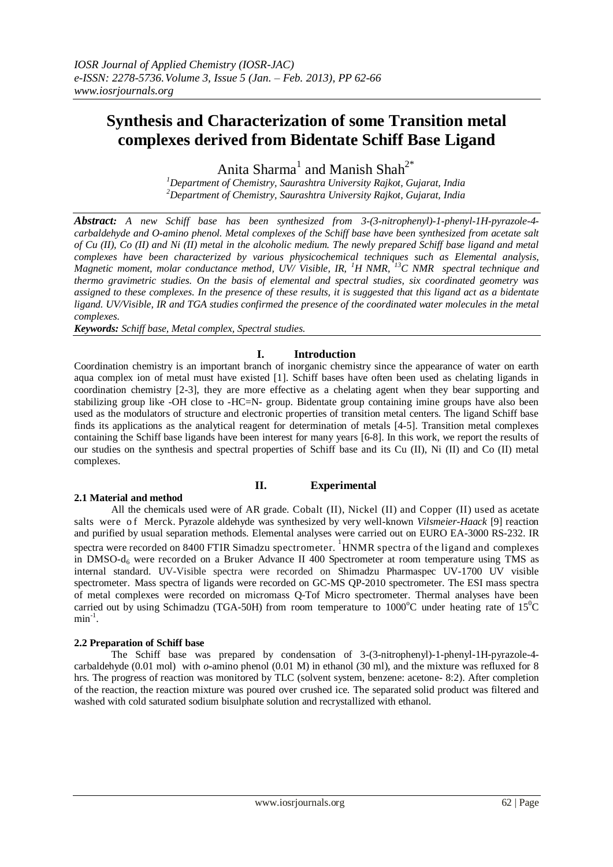# **Synthesis and Characterization of some Transition metal complexes derived from Bidentate Schiff Base Ligand**

Anita Sharma<sup>1</sup> and Manish Shah<sup>2\*</sup>

*<sup>1</sup>Department of Chemistry, Saurashtra University Rajkot, Gujarat, India <sup>2</sup>Department of Chemistry, Saurashtra University Rajkot, Gujarat, India*

*Abstract: A new Schiff base has been synthesized from 3-(3-nitrophenyl)-1-phenyl-1H-pyrazole-4 carbaldehyde and O-amino phenol. Metal complexes of the Schiff base have been synthesized from acetate salt of Cu (II), Co (II) and Ni (II) metal in the alcoholic medium. The newly prepared Schiff base ligand and metal complexes have been characterized by various physicochemical techniques such as Elemental analysis, Magnetic moment, molar conductance method, UV/ Visible, IR, <sup>1</sup>H NMR, <sup>13</sup>C NMR spectral technique and thermo gravimetric studies. On the basis of elemental and spectral studies, six coordinated geometry was assigned to these complexes. In the presence of these results, it is suggested that this ligand act as a bidentate ligand. UV/Visible, IR and TGA studies confirmed the presence of the coordinated water molecules in the metal complexes.*

*Keywords: Schiff base, Metal complex, Spectral studies.*

# **I. Introduction**

Coordination chemistry is an important branch of inorganic chemistry since the appearance of water on earth aqua complex ion of metal must have existed [1]. Schiff bases have often been used as chelating ligands in coordination chemistry [2-3], they are more effective as a chelating agent when they bear supporting and stabilizing group like -OH close to -HC=N- group. Bidentate group containing imine groups have also been used as the modulators of structure and electronic properties of transition metal centers. The ligand Schiff base finds its applications as the analytical reagent for determination of metals [4-5]. Transition metal complexes containing the Schiff base ligands have been interest for many years [6-8]. In this work, we report the results of our studies on the synthesis and spectral properties of Schiff base and its Cu (II), Ni (II) and Co (II) metal complexes.

# **2.1 Material and method**

# **II. Experimental**

All the chemicals used were of AR grade. Cobalt (II), Nickel (II) and Copper (II) used as acetate salts were o f Merck. Pyrazole aldehyde was synthesized by very well-known *Vilsmeier-Haack* [9] reaction and purified by usual separation methods. Elemental analyses were carried out on EURO EA-3000 RS-232. IR spectra were recorded on 8400 FTIR Simadzu spectrometer. <sup>1</sup>HNMR spectra of the ligand and complexes in DMSO-d<sub>6</sub> were recorded on a Bruker Advance II 400 Spectrometer at room temperature using TMS as internal standard. UV-Visible spectra were recorded on Shimadzu Pharmaspec UV-1700 UV visible spectrometer. Mass spectra of ligands were recorded on GC-MS QP-2010 spectrometer. The ESI mass spectra of metal complexes were recorded on micromass Q-Tof Micro spectrometer. Thermal analyses have been carried out by using Schimadzu (TGA-50H) from room temperature to  $1000^{\circ}$ C under heating rate of  $15^{\circ}$ C  $min^{-1}$ .

# **2.2 Preparation of Schiff base**

The Schiff base was prepared by condensation of 3-(3-nitrophenyl)-1-phenyl-1H-pyrazole-4 carbaldehyde (0.01 mol) with *o*-amino phenol (0.01 M) in ethanol (30 ml), and the mixture was refluxed for 8 hrs. The progress of reaction was monitored by TLC (solvent system, benzene: acetone- 8:2). After completion of the reaction, the reaction mixture was poured over crushed ice. The separated solid product was filtered and washed with cold saturated sodium bisulphate solution and recrystallized with ethanol.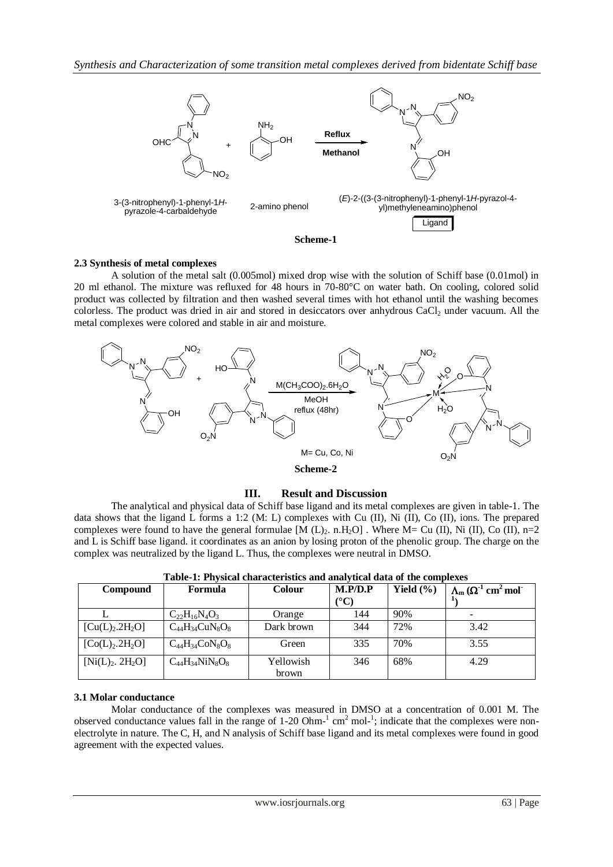

#### **2.3 Synthesis of metal complexes**

A solution of the metal salt (0.005mol) mixed drop wise with the solution of Schiff base (0.01mol) in 20 ml ethanol. The mixture was refluxed for 48 hours in 70-80°C on water bath. On cooling, colored solid product was collected by filtration and then washed several times with hot ethanol until the washing becomes colorless. The product was dried in air and stored in desiccators over anhydrous  $CaCl<sub>2</sub>$  under vacuum. All the metal complexes were colored and stable in air and moisture.



# **III. Result and Discussion**

The analytical and physical data of Schiff base ligand and its metal complexes are given in table-1. The data shows that the ligand L forms a 1:2 (M: L) complexes with Cu (II), Ni (II), Co (II), ions. The prepared complexes were found to have the general formulae  $[M (L)<sub>2</sub> n.H<sub>2</sub>O]$ . Where M= Cu (II), Ni (II), Co (II), n=2 and L is Schiff base ligand. it coordinates as an anion by losing proton of the phenolic group. The charge on the complex was neutralized by the ligand L. Thus, the complexes were neutral in DMSO.

| <b>Compound</b>                         | <b>Formula</b>         | <b>Colour</b> | M.P/D.P                | Yield $(\% )$ | $\Lambda_{\rm m}$ ( $\Omega^{-1}$ cm <sup>2</sup> mol <sup>-</sup> |
|-----------------------------------------|------------------------|---------------|------------------------|---------------|--------------------------------------------------------------------|
|                                         |                        |               | $({}^\circ\mathrm{C})$ |               |                                                                    |
|                                         | $C_{22}H_{16}N_4O_3$   | Orange        | 144                    | 90%           |                                                                    |
| [Cu(L) <sub>2</sub> .2H <sub>2</sub> O] | $C_{44}H_{34}CuN_8O_8$ | Dark brown    | 344                    | 72%           | 3.42                                                               |
| [Co(L) <sub>2</sub> .2H <sub>2</sub> O] | $C_{44}H_{34}CoN_8O_8$ | Green         | 335                    | 70%           | 3.55                                                               |
| $[Ni(L)2$ . 2H <sub>2</sub> O]          | $C_{44}H_{34}NiN_8O_8$ | Yellowish     | 346                    | 68%           | 4.29                                                               |
|                                         |                        | brown         |                        |               |                                                                    |

**Table-1: Physical characteristics and analytical data of the complexes**

#### **3.1 Molar conductance**

Molar conductance of the complexes was measured in DMSO at a concentration of 0.001 M. The observed conductance values fall in the range of  $1\text{-}20$  Ohm $^{-1}$  cm<sup>2</sup> mol $^{-1}$ ; indicate that the complexes were nonelectrolyte in nature. The C, H, and N analysis of Schiff base ligand and its metal complexes were found in good agreement with the expected values.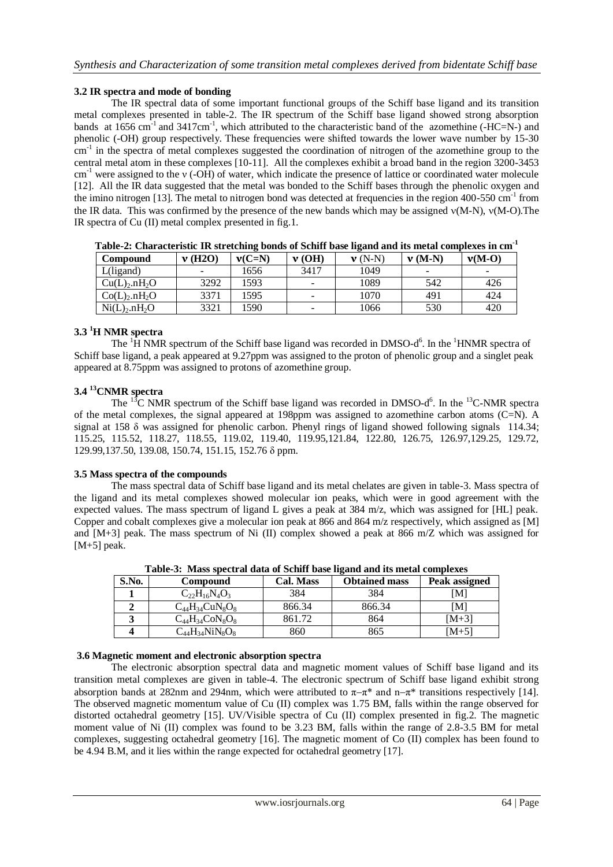### **3.2 IR spectra and mode of bonding**

The IR spectral data of some important functional groups of the Schiff base ligand and its transition metal complexes presented in table-2. The IR spectrum of the Schiff base ligand showed strong absorption bands at  $1656 \text{ cm}^{-1}$  and  $3417 \text{cm}^{-1}$ , which attributed to the characteristic band of the azomethine (-HC=N-) and phenolic (-OH) group respectively. These frequencies were shifted towards the lower wave number by 15-30 cm<sup>-1</sup> in the spectra of metal complexes suggested the coordination of nitrogen of the azomethine group to the central metal atom in these complexes [10-11]. All the complexes exhibit a broad band in the region 3200-3453 cm-1 were assigned to the ν (-OH) of water, which indicate the presence of lattice or coordinated water molecule [12]. All the IR data suggested that the metal was bonded to the Schiff bases through the phenolic oxygen and the imino nitrogen [13]. The metal to nitrogen bond was detected at frequencies in the region 400-550 cm<sup>-1</sup> from the IR data. This was confirmed by the presence of the new bands which may be assigned  $v(M-N)$ ,  $v(M-O)$ . The IR spectra of Cu (II) metal complex presented in fig.1.

| a wway an 'uaawa wynyyaawyay aan wya ynyaaaam muaanw ua wyaaaaa mwwy aamwaaw waaw ayy aaayyya yuaaan |                          |          |                          |                    |                          |                          |
|------------------------------------------------------------------------------------------------------|--------------------------|----------|--------------------------|--------------------|--------------------------|--------------------------|
| <b>Compound</b>                                                                                      | $\bf{v}$ (H2O)           | $v(C=N)$ | $\bf{v}$ (OH)            | $\mathbf{v}$ (N-N) | $\bf{v}$ (M-N)           | $v(M-O)$                 |
| L(ligand)                                                                                            | $\overline{\phantom{0}}$ | 1656     | 3417                     | 1049               | $\overline{\phantom{a}}$ | $\overline{\phantom{0}}$ |
| Cu(L) <sub>2</sub> .nH <sub>2</sub> O                                                                | 3292                     | 1593     | $\overline{\phantom{0}}$ | 1089               | 542                      | 426                      |
| Co(L) <sub>2</sub> .nH <sub>2</sub> O                                                                | 3371                     | 1595     | $\overline{\phantom{0}}$ | 1070               | 491                      | 424                      |
| Ni(L) <sub>2</sub> .nH <sub>2</sub> O                                                                | 3321                     | 1590     | $\overline{\phantom{0}}$ | 1066               | 530                      | 420                      |

**Table-2: Characteristic IR stretching bonds of Schiff base ligand and its metal complexes in cm-1**

### **3.3 <sup>1</sup>H NMR spectra**

The  ${}^{1}$ H NMR spectrum of the Schiff base ligand was recorded in DMSO-d<sup>6</sup>. In the  ${}^{1}$ HNMR spectra of Schiff base ligand, a peak appeared at 9.27ppm was assigned to the proton of phenolic group and a singlet peak appeared at 8.75ppm was assigned to protons of azomethine group.

# **3.4 <sup>13</sup>CNMR spectra**

The  ${}^{13}C$  NMR spectrum of the Schiff base ligand was recorded in DMSO-d<sup>6</sup>. In the  ${}^{13}C$ -NMR spectra of the metal complexes, the signal appeared at 198ppm was assigned to azomethine carbon atoms (C=N). A signal at 158 δ was assigned for phenolic carbon. Phenyl rings of ligand showed following signals 114.34; 115.25, 115.52, 118.27, 118.55, 119.02, 119.40, 119.95,121.84, 122.80, 126.75, 126.97,129.25, 129.72, 129.99,137.50, 139.08, 150.74, 151.15, 152.76 δ ppm.

#### **3.5 Mass spectra of the compounds**

The mass spectral data of Schiff base ligand and its metal chelates are given in table-3. Mass spectra of the ligand and its metal complexes showed molecular ion peaks, which were in good agreement with the expected values. The mass spectrum of ligand L gives a peak at 384 m/z, which was assigned for [HL] peak. Copper and cobalt complexes give a molecular ion peak at 866 and 864 m/z respectively, which assigned as [M] and [M+3] peak. The mass spectrum of Ni (II) complex showed a peak at 866 m/Z which was assigned for  $[M+5]$  peak.

| Table-9. Thass speech at uata of Behini base hganu anu ns inclai complexes |                             |           |                      |               |  |  |
|----------------------------------------------------------------------------|-----------------------------|-----------|----------------------|---------------|--|--|
| S.No.                                                                      | Compound                    | Cal. Mass | <b>Obtained mass</b> | Peak assigned |  |  |
|                                                                            | $C_{22}H_{16}N_4O_3$        | 384       | 384                  | ſМl           |  |  |
|                                                                            | $C_{44}H_{34}CuN_8O_8$      | 866.34    | 866.34               | ſМl           |  |  |
|                                                                            | $C_{44}H_{34}CoN_8O_8$      | 861.72    | 864                  | [M+3]         |  |  |
|                                                                            | $\rm{C_{44}H_{34}NiN_8O_8}$ | 860       | 865                  | $[M+5]$       |  |  |

**Table-3: Mass spectral data of Schiff base ligand and its metal complexes**

#### **3.6 Magnetic moment and electronic absorption spectra**

The electronic absorption spectral data and magnetic moment values of Schiff base ligand and its transition metal complexes are given in table-4. The electronic spectrum of Schiff base ligand exhibit strong absorption bands at 282nm and 294nm, which were attributed to  $\pi-\pi^*$  and  $n-\pi^*$  transitions respectively [14]. The observed magnetic momentum value of Cu (II) complex was 1.75 BM, falls within the range observed for distorted octahedral geometry [15]. UV/Visible spectra of Cu (II) complex presented in fig.2. The magnetic moment value of Ni (II) complex was found to be 3.23 BM, falls within the range of 2.8-3.5 BM for metal complexes, suggesting octahedral geometry [16]. The magnetic moment of Co (II) complex has been found to be 4.94 B.M, and it lies within the range expected for octahedral geometry [17].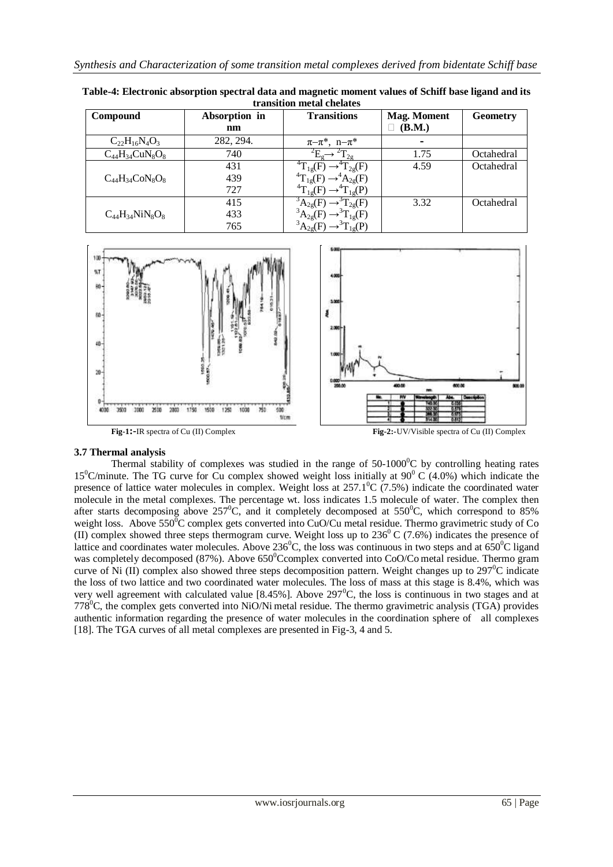| u ansitivn metal energies |               |                                     |                    |                 |  |  |
|---------------------------|---------------|-------------------------------------|--------------------|-----------------|--|--|
| Compound                  | Absorption in | <b>Transitions</b>                  | <b>Mag. Moment</b> | <b>Geometry</b> |  |  |
|                           | nm            |                                     | (B.M.)             |                 |  |  |
| $C_{22}H_{16}N_4O_3$      | 282, 294.     | $\pi-\pi^*$ , $n-\pi^*$             |                    |                 |  |  |
| $C_{44}H_{34}CuN_8O_8$    | 740           |                                     | 1.75               | Octahedral      |  |  |
|                           | 431           | $T_{1g}(F)$<br>$T_{2g}(F)$          | 4.59               | Octahedral      |  |  |
| $C_{44}H_{34}CoN_8O_8$    | 439           | 4 <sub>T</sub>                      |                    |                 |  |  |
|                           | 727           | 4π<br>լջ $(P)$<br>10 <sup>1</sup>   |                    |                 |  |  |
|                           | 415           | $\Gamma_{2g}(F)$                    | 3.32               | Octahedral      |  |  |
| $C_{44}H_{34}NiN_8O_8$    | 433           | $T_{1g}(F)$                         |                    |                 |  |  |
|                           | 765           | $_{1}$ e $\left( \mathrm{P}\right)$ |                    |                 |  |  |

**Table-4: Electronic absorption spectral data and magnetic moment values of Schiff base ligand and its transition metal chelates**



# **3.7 Thermal analysis**

Thermal stability of complexes was studied in the range of  $50-1000^{\circ}$ C by controlling heating rates 15<sup>0</sup>C/minute. The TG curve for Cu complex showed weight loss initially at  $90^{\circ}$  C (4.0%) which indicate the presence of lattice water molecules in complex. Weight loss at  $257.1^{\circ}$ C (7.5%) indicate the coordinated water molecule in the metal complexes. The percentage wt. loss indicates 1.5 molecule of water. The complex then after starts decomposing above  $257^{\circ}$ C, and it completely decomposed at  $550^{\circ}$ C, which correspond to 85% weight loss. Above 550<sup>0</sup>C complex gets converted into CuO/Cu metal residue. Thermo gravimetric study of Co (II) complex showed three steps thermogram curve. Weight loss up to  $236^{\circ}$  C (7.6%) indicates the presence of lattice and coordinates water molecules. Above 236<sup>o</sup>C, the loss was continuous in two steps and at  $650^{\circ}$ C ligand was completely decomposed (87%). Above 650°Ccomplex converted into CoO/Co metal residue. Thermo gram curve of Ni (II) complex also showed three steps decomposition pattern. Weight changes up to  $297^{\circ}$ C indicate the loss of two lattice and two coordinated water molecules. The loss of mass at this stage is 8.4%, which was very well agreement with calculated value [8.45%]. Above  $297^{\circ}$ C, the loss is continuous in two stages and at  $778^{\circ}$ C, the complex gets converted into NiO/Ni metal residue. The thermo gravimetric analysis (TGA) provides authentic information regarding the presence of water molecules in the coordination sphere of all complexes [18]. The TGA curves of all metal complexes are presented in Fig-3, 4 and 5.